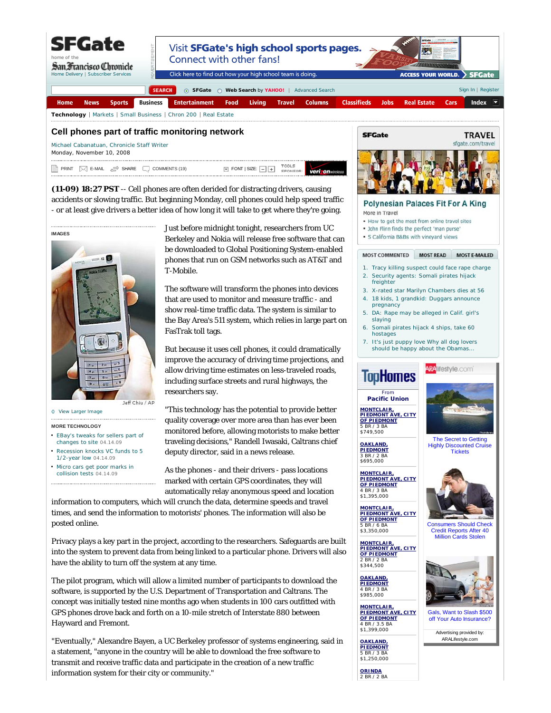

veri on

Michael Cabanatuan, Chronicle Staff Writer Monday, November 10, 2008

TOOLS<br>SPONSO PRINT  $\bowtie$  E-MAIL  $\cong$  SHARE  $\sqcup$  COMMENTS (19)  $\blacksquare$  FONT SIZE:

**(11-09) 18:27 PST** -- Cell phones are often derided for distracting drivers, causing accidents or slowing traffic. But beginning Monday, cell phones could help speed traffic - or at least give drivers a better idea of how long it will take to get where they're going.



## **MORE TECHNOLOGY**

- EBay's tweaks for sellers part of changes to site 04.14.09
- Recession knocks VC funds to 5 1/2-year low 04.14.09
- Micro cars get poor marks in collision tests 04.14.09

Just before midnight tonight, researchers from UC Berkeley and Nokia will release free software that can be downloaded to Global Positioning System-enabled phones that run on GSM networks such as AT&T and T-Mobile.

The software will transform the phones into devices that are used to monitor and measure traffic - and show real-time traffic data. The system is similar to the Bay Area's 511 system, which relies in large part on FasTrak toll tags.

But because it uses cell phones, it could dramatically improve the accuracy of driving time projections, and allow driving time estimates on less-traveled roads, including surface streets and rural highways, the researchers say.

"This technology has the potential to provide better quality coverage over more area than has ever been monitored before, allowing motorists to make better traveling decisions," Randell Iwasaki, Caltrans chief deputy director, said in a news release.

As the phones - and their drivers - pass locations marked with certain GPS coordinates, they will automatically relay anonymous speed and location

information to computers, which will crunch the data, determine speeds and travel times, and send the information to motorists' phones. The information will also be posted online.

Privacy plays a key part in the project, according to the researchers. Safeguards are built into the system to prevent data from being linked to a particular phone. Drivers will also have the ability to turn off the system at any time.

The pilot program, which will allow a limited number of participants to download the software, is supported by the U.S. Department of Transportation and Caltrans. The concept was initially tested nine months ago when students in 100 cars outfitted with GPS phones drove back and forth on a 10-mile stretch of Interstate 880 between Hayward and Fremont.

"Eventually," Alexandre Bayen, a UC Berkeley professor of systems engineering, said in a statement, "anyone in the country will be able to download the free software to transmit and receive traffic data and participate in the creation of a new traffic information system for their city or community."



**Polynesian Palaces Fit For A King** More in Travel

- . How to get the most from online travel sites
- . John Flinn finds the perfect 'man purse'
- · 5 California B&Bs with vinevard views

## MOST COMMENTED MOST READ **MOST E-MAILED**

- 1. Tracy killing suspect could face rape charge
- Security agents: Somali pirates hijack freighter 2.
- 3. X-rated star Marilyn Chambers dies at 56 4. 18 kids, 1 grandkid: Duggars announce
- pregnancy DA: Rape may be alleged in Calif. girl's 5.
- slaying
- Somali pirates hijack 4 ships, take 60 hostages 6.
- It's just puppy love Why all dog lovers should be happy about the Obamas. 7.

**RA**llfestyle.com<sup>\*</sup>

TooHomes

From **Pacific Union MONTCLAIR, PIEDMONT AVE, CITY OF PIEDMONT** 5 BR / 3 BA

\$749,500 **OAKLAND,**

**PIEDMONT** 3 BR / 2 BA \$695,000

**MONTCLAIR, PIEDMONT AVE, CITY OF PIEDMONT** 4 BR / 3 BA \$1,395,000

**MONTCLAIR, PIEDMONT AVE, CITY OF PIEDMONT** 5 BR / 6 BA \$3,350,000

**MONTCLAIR, PIEDMONT AVE, CITY OF PIEDMONT** 2 BR / 2 BA  $$344,500$ 

**OAKLAND, PIEDMONT** 4 BR / 3 BA \$985,000

**MONTCLAIR, PIEDMONT AVE, CITY OF PIEDMONT** 4 BR / 3.5 BA

\$1,399,000 **OAKLAND, PIEDMONT** 5 BR / 3 BA \$1,250,000

**ORINDA** 2 BR / 2 BA



Advertising provided by: ARALifestyle.com